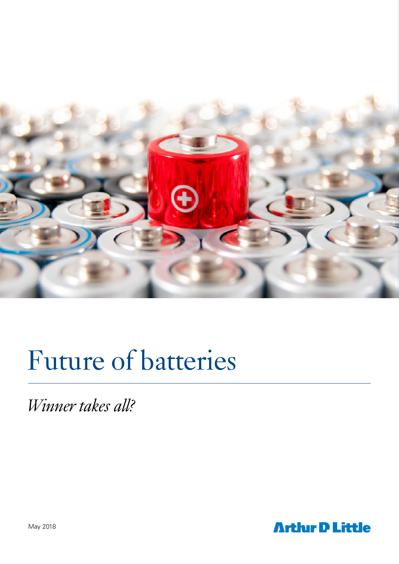

# Future of batteries

*Winner takes all?*

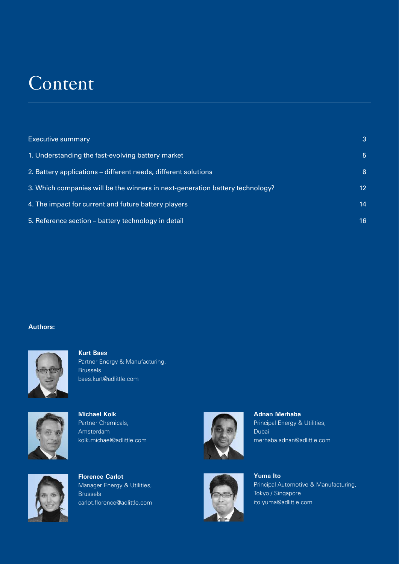## **Content**

| <b>Executive summary</b>                                                      |    |
|-------------------------------------------------------------------------------|----|
| 1. Understanding the fast-evolving battery market                             | 5  |
| 2. Battery applications – different needs, different solutions                | 8  |
| 3. Which companies will be the winners in next-generation battery technology? | 12 |
| 4. The impact for current and future battery players                          | 14 |
| 5. Reference section – battery technology in detail                           | 16 |

#### **Authors:**



**Kurt Baes** Partner Energy & Manufacturing, Brussels baes.kurt@adlittle.com



**Michael Kolk** Partner Chemicals, Amsterdam kolk.michael@adlittle.com



**Florence Carlot** Manager Energy & Utilities, **Brussels** carlot.florence@adlittle.com



**Adnan Merhaba** Principal Energy & Utilities, Dubai merhaba.adnan@adlittle.com



**Yuma Ito** Principal Automotive & Manufacturing, Tokyo / Singapore ito.yuma@adlittle.com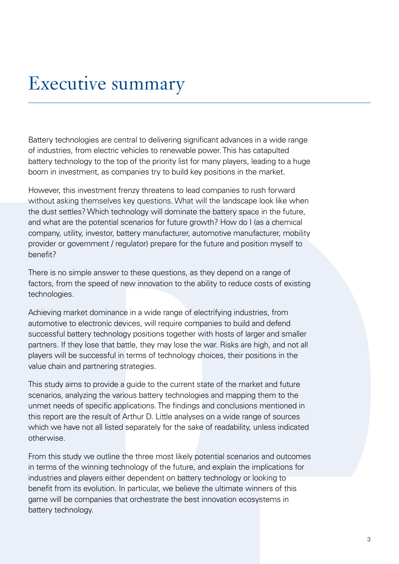## Executive summary

Battery technologies are central to delivering significant advances in a wide range of industries, from electric vehicles to renewable power. This has catapulted battery technology to the top of the priority list for many players, leading to a huge boom in investment, as companies try to build key positions in the market.

However, this investment frenzy threatens to lead companies to rush forward without asking themselves key questions. What will the landscape look like when the dust settles? Which technology will dominate the battery space in the future, and what are the potential scenarios for future growth? How do I (as a chemical company, utility, investor, battery manufacturer, automotive manufacturer, mobility provider or government / regulator) prepare for the future and position myself to benefit?

There is no simple answer to these questions, as they depend on a range of factors, from the speed of new innovation to the ability to reduce costs of existing technologies.

Achieving market dominance in a wide range of electrifying industries, from automotive to electronic devices, will require companies to build and defend successful battery technology positions together with hosts of larger and smaller partners. If they lose that battle, they may lose the war. Risks are high, and not all players will be successful in terms of technology choices, their positions in the value chain and partnering strategies.

This study aims to provide a guide to the current state of the market and future scenarios, analyzing the various battery technologies and mapping them to the unmet needs of specific applications. The findings and conclusions mentioned in this report are the result of Arthur D. Little analyses on a wide range of sources which we have not all listed separately for the sake of readability, unless indicated otherwise.

From this study we outline the three most likely potential scenarios and outcomes in terms of the winning technology of the future, and explain the implications for industries and players either dependent on battery technology or looking to benefit from its evolution. In particular, we believe the ultimate winners of this game will be companies that orchestrate the best innovation ecosystems in battery technology.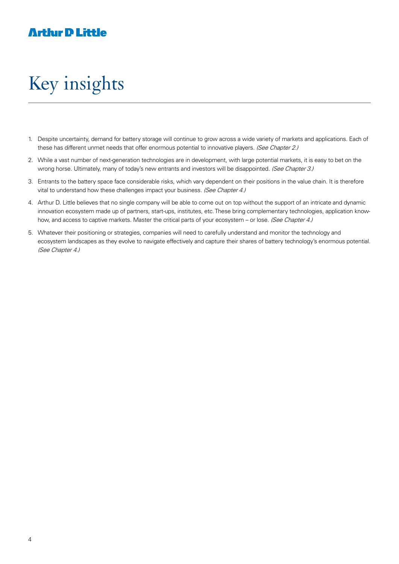## Key insights

- 1. Despite uncertainty, demand for battery storage will continue to grow across a wide variety of markets and applications. Each of these has different unmet needs that offer enormous potential to innovative players. (See Chapter 2.)
- 2. While a vast number of next-generation technologies are in development, with large potential markets, it is easy to bet on the wrong horse. Ultimately, many of today's new entrants and investors will be disappointed. (See Chapter 3.)
- 3. Entrants to the battery space face considerable risks, which vary dependent on their positions in the value chain. It is therefore vital to understand how these challenges impact your business. (See Chapter 4.)
- 4. Arthur D. Little believes that no single company will be able to come out on top without the support of an intricate and dynamic innovation ecosystem made up of partners, start-ups, institutes, etc. These bring complementary technologies, application knowhow, and access to captive markets. Master the critical parts of your ecosystem – or lose. (See Chapter 4.)
- 5. Whatever their positioning or strategies, companies will need to carefully understand and monitor the technology and ecosystem landscapes as they evolve to navigate effectively and capture their shares of battery technology's enormous potential. (See Chapter 4.)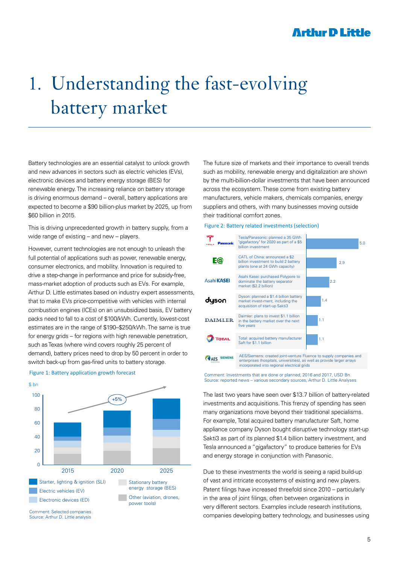## 1. Understanding the fast-evolving battery market

Battery technologies are an essential catalyst to unlock growth and new advances in sectors such as electric vehicles (EVs), electronic devices and battery energy storage (BES) for renewable energy. The increasing reliance on battery storage is driving enormous demand – overall, battery applications are expected to become a \$90 billion-plus market by 2025, up from \$60 billion in 2015.

This is driving unprecedented growth in battery supply, from a wide range of existing – and new – players.

However, current technologies are not enough to unleash the full potential of applications such as power, renewable energy, consumer electronics, and mobility. Innovation is required to drive a step-change in performance and price for subsidy-free, mass-market adoption of products such as EVs. For example, Arthur D. Little estimates based on industry expert assessments, that to make EVs price-competitive with vehicles with internal combustion engines (ICEs) on an unsubsidized basis, EV battery packs need to fall to a cost of \$100/kWh. Currently, lowest-cost estimates are in the range of \$190–\$250/kWh. The same is true for energy grids – for regions with high renewable penetration, such as Texas (where wind covers roughly 25 percent of demand), battery prices need to drop by 50 percent in order to switch back-up from gas-fired units to battery storage.



#### Figure 1: Battery application growth forecast

Comment: Selected companies Source: Arthur D. Little analysis The future size of markets and their importance to overall trends such as mobility, renewable energy and digitalization are shown by the multi-billion-dollar investments that have been announced across the ecosystem. These come from existing battery manufacturers, vehicle makers, chemicals companies, energy suppliers and others, with many businesses moving outside their traditional comfort zones.

#### Figure 2: Battery related investments (selection)



Comment: Investments that are done or planned, 2016 and 2017, USD Bn Source: reported news – various secondary sources, Arthur D. Little Analyses

The last two years have seen over \$13.7 billion of battery-related investments and acquisitions. This frenzy of spending has seen many organizations move beyond their traditional specialisms. For example, Total acquired battery manufacturer Saft, home appliance company Dyson bought disruptive technology start-up Sakti3 as part of its planned \$1.4 billion battery investment, and Tesla announced a "gigafactory" to produce batteries for EVs and energy storage in conjunction with Panasonic.

Due to these investments the world is seeing a rapid build-up of vast and intricate ecosystems of existing and new players. Patent filings have increased threefold since 2010 – particularly in the area of joint filings, often between organizations in very different sectors. Examples include research institutions, companies developing battery technology, and businesses using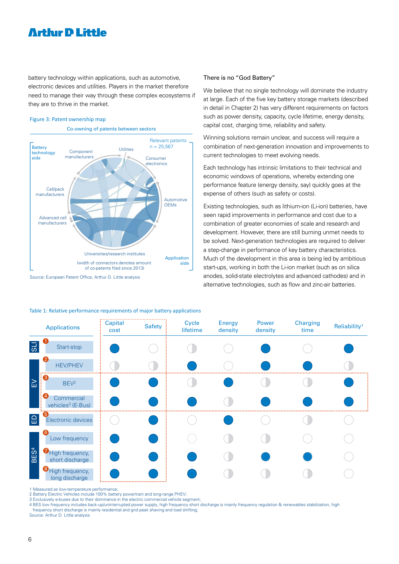battery technology within applications, such as automotive, electronic devices and utilities. Players in the market therefore need to manage their way through these complex ecosystems if they are to thrive in the market.

#### Figure 3: Patent ownership map

Co-owning of patents between sectors



#### There is no "God Battery"

We believe that no single technology will dominate the industry at large. Each of the five key battery storage markets (described in detail in Chapter 2) has very different requirements on factors such as power density, capacity, cycle lifetime, energy density, capital cost, charging time, reliability and safety.

Winning solutions remain unclear, and success will require a combination of next-generation innovation and improvements to current technologies to meet evolving needs.

Each technology has intrinsic limitations to their technical and economic windows of operations, whereby extending one performance feature (energy density, say) quickly goes at the expense of others (such as safety or costs).

Existing technologies, such as lithium-ion (Li-ion) batteries, have seen rapid improvements in performance and cost due to a combination of greater economies of scale and research and development. However, there are still burning unmet needs to be solved. Next-generation technologies are required to deliver a step-change in performance of key battery characteristics. Much of the development in this area is being led by ambitious start-ups, working in both the Li-ion market (such as on silica anodes, solid-state electrolytes and advanced cathodes) and in alternative technologies, such as flow and zinc-air batteries.

|                  | <b>Applications</b>                         | <br>Capital | <b>Safety</b> | Cycle    | <b>Energy</b> | Power   | <b>Charging</b> | Reliability <sup>1</sup> |
|------------------|---------------------------------------------|-------------|---------------|----------|---------------|---------|-----------------|--------------------------|
|                  |                                             | cost        |               | lifetime | density       | density | time            |                          |
| $\overline{5}$   | Start-stop                                  |             |               |          |               |         |                 |                          |
| $\geq$           | $\overline{2}$<br><b>HEV/PHEV</b>           |             |               |          |               |         |                 |                          |
|                  | BEV <sup>2</sup>                            |             |               |          |               |         |                 |                          |
|                  | Commercial<br>vehicles <sup>3</sup> (E-Bus) |             |               |          |               |         |                 |                          |
| $\Box$           | Electronic devices                          |             |               |          |               |         |                 |                          |
| BES <sup>4</sup> | 6<br>Low frequency                          |             |               |          |               |         |                 |                          |
|                  | High frequency,<br>short discharge          |             |               |          |               |         |                 |                          |
|                  | <b>B</b> High frequency,<br>long discharge  |             |               |          |               |         |                 |                          |

#### Table 1: Relative performance requirements of major battery applications

1 Measured as low-temperature performance;

2 Battery Electric Vehicles include 100% battery powertrain and long-range PHEV;

3 Exclusively e-buses due to their dominance in the electric commercial vehicle segment;

4 BES low frequency includes back-up/uninterrupted power supply, high frequency short discharge is mainly frequency regulation & renewables stabilization, high frequency short discharge is mainly residential and grid peak shaving and load shifting;

Source: Arthur D. Little analysis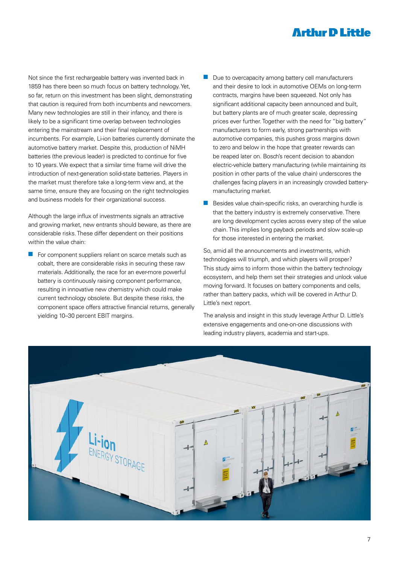Not since the first rechargeable battery was invented back in 1859 has there been so much focus on battery technology. Yet, so far, return on this investment has been slight, demonstrating that caution is required from both incumbents and newcomers. Many new technologies are still in their infancy, and there is likely to be a significant time overlap between technologies entering the mainstream and their final replacement of incumbents. For example, Li-ion batteries currently dominate the automotive battery market. Despite this, production of NiMH batteries (the previous leader) is predicted to continue for five to 10 years. We expect that a similar time frame will drive the introduction of next-generation solid-state batteries. Players in the market must therefore take a long-term view and, at the same time, ensure they are focusing on the right technologies and business models for their organizational success.

Although the large influx of investments signals an attractive and growing market, new entrants should beware, as there are considerable risks. These differ dependent on their positions within the value chain:

 $\blacksquare$  For component suppliers reliant on scarce metals such as cobalt, there are considerable risks in securing these raw materials. Additionally, the race for an ever-more powerful battery is continuously raising component performance, resulting in innovative new chemistry which could make current technology obsolete. But despite these risks, the component space offers attractive financial returns, generally yielding 10–30 percent EBIT margins.

- $\blacksquare$  Due to overcapacity among battery cell manufacturers and their desire to lock in automotive OEMs on long-term contracts, margins have been squeezed. Not only has significant additional capacity been announced and built, but battery plants are of much greater scale, depressing prices ever further. Together with the need for "big battery" manufacturers to form early, strong partnerships with automotive companies, this pushes gross margins down to zero and below in the hope that greater rewards can be reaped later on. Bosch's recent decision to abandon electric-vehicle battery manufacturing (while maintaining its position in other parts of the value chain) underscores the challenges facing players in an increasingly crowded batterymanufacturing market.
- $\blacksquare$  Besides value chain-specific risks, an overarching hurdle is that the battery industry is extremely conservative. There are long development cycles across every step of the value chain. This implies long payback periods and slow scale-up for those interested in entering the market.

So, amid all the announcements and investments, which technologies will triumph, and which players will prosper? This study aims to inform those within the battery technology ecosystem, and help them set their strategies and unlock value moving forward. It focuses on battery components and cells, rather than battery packs, which will be covered in Arthur D. Little's next report.

The analysis and insight in this study leverage Arthur D. Little's extensive engagements and one-on-one discussions with leading industry players, academia and start-ups.

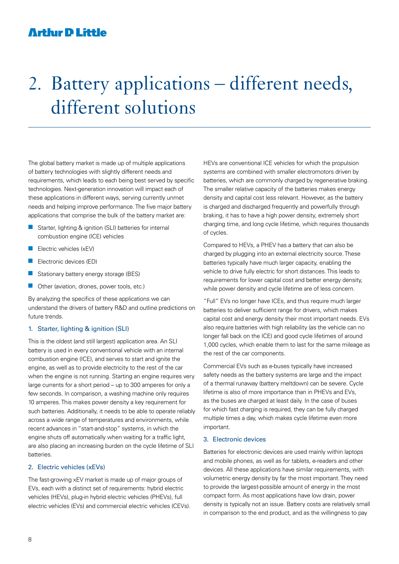## 2. Battery applications – different needs, different solutions

The global battery market is made up of multiple applications of battery technologies with slightly different needs and requirements, which leads to each being best served by specific technologies. Next-generation innovation will impact each of these applications in different ways, serving currently unmet needs and helping improve performance. The five major battery applications that comprise the bulk of the battery market are:

- Starter, lighting  $\&$  ignition (SLI) batteries for internal combustion engine (ICE) vehicles
- $\blacksquare$  Electric vehicles (xEV)
- $\blacksquare$  Electronic devices (ED)
- $\blacksquare$  Stationary battery energy storage (BES)
- Other (aviation, drones, power tools, etc.)

By analyzing the specifics of these applications we can understand the drivers of battery R&D and outline predictions on future trends.

#### 1. Starter, lighting & ignition (SLI)

This is the oldest (and still largest) application area. An SLI battery is used in every conventional vehicle with an internal combustion engine (ICE), and serves to start and ignite the engine, as well as to provide electricity to the rest of the car when the engine is not running. Starting an engine requires very large currents for a short period – up to 300 amperes for only a few seconds. In comparison, a washing machine only requires 10 amperes. This makes power density a key requirement for such batteries. Additionally, it needs to be able to operate reliably across a wide range of temperatures and environments, while recent advances in "start-and-stop" systems, in which the engine shuts off automatically when waiting for a traffic light, are also placing an increasing burden on the cycle lifetime of SLI batteries.

#### 2. Electric vehicles (xEVs)

The fast-growing xEV market is made up of major groups of EVs, each with a distinct set of requirements: hybrid electric vehicles (HEVs), plug-in hybrid electric vehicles (PHEVs), full electric vehicles (EVs) and commercial electric vehicles (CEVs). HEVs are conventional ICE vehicles for which the propulsion systems are combined with smaller electromotors driven by batteries, which are commonly charged by regenerative braking. The smaller relative capacity of the batteries makes energy density and capital cost less relevant. However, as the battery is charged and discharged frequently and powerfully through braking, it has to have a high power density, extremely short charging time, and long cycle lifetime, which requires thousands of cycles.

Compared to HEVs, a PHEV has a battery that can also be charged by plugging into an external electricity source. These batteries typically have much larger capacity, enabling the vehicle to drive fully electric for short distances. This leads to requirements for lower capital cost and better energy density, while power density and cycle lifetime are of less concern.

"Full" EVs no longer have ICEs, and thus require much larger batteries to deliver sufficient range for drivers, which makes capital cost and energy density their most important needs. EVs also require batteries with high reliability (as the vehicle can no longer fall back on the ICE) and good cycle lifetimes of around 1,000 cycles, which enable them to last for the same mileage as the rest of the car components.

Commercial EVs such as e-buses typically have increased safety needs as the battery systems are large and the impact of a thermal runaway (battery meltdown) can be severe. Cycle lifetime is also of more importance than in PHEVs and EVs, as the buses are charged at least daily. In the case of buses for which fast charging is required, they can be fully charged multiple times a day, which makes cycle lifetime even more important.

#### 3. Electronic devices

Batteries for electronic devices are used mainly within laptops and mobile phones, as well as for tablets, e-readers and other devices. All these applications have similar requirements, with volumetric energy density by far the most important. They need to provide the largest-possible amount of energy in the most compact form. As most applications have low drain, power density is typically not an issue. Battery costs are relatively small in comparison to the end product, and as the willingness to pay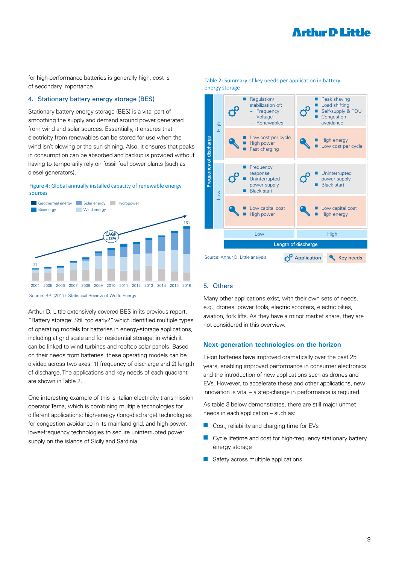for high-performance batteries is generally high, cost is of secondary importance.

#### 4. Stationary battery energy storage (BES)

Stationary battery energy storage (BES) is a vital part of smoothing the supply and demand around power generated from wind and solar sources. Essentially, it ensures that electricity from renewables can be stored for use when the wind isn't blowing or the sun shining. Also, it ensures that peaks in consumption can be absorbed and backup is provided without having to temporarily rely on fossil fuel power plants (such as diesel generators).





Source: BP. (2017). Statistical Review of World Energy

Arthur D. Little extensively covered BES in its previous report, "Battery storage: Still too early?", which identified multiple types of operating models for batteries in energy-storage applications, including at grid scale and for residential storage, in which it can be linked to wind turbines and rooftop solar panels. Based on their needs from batteries, these operating models can be divided across two axes: 1) frequency of discharge and 2) length of discharge. The applications and key needs of each quadrant are shown in Table 2.

One interesting example of this is Italian electricity transmission operator Terna, which is combining multiple technologies for different applications: high-energy (long-discharge) technologies for congestion avoidance in its mainland grid, and high-power, lower-frequency technologies to secure uninterrupted power supply on the islands of Sicily and Sardinia.



#### Table 2: Summary of key needs per application in battery energy storage

#### 5. Others

Many other applications exist, with their own sets of needs, e.g., drones, power tools, electric scooters, electric bikes, aviation, fork lifts. As they have a minor market share, they are not considered in this overview.

#### **Next-generation technologies on the horizon**

Li-ion batteries have improved dramatically over the past 25 years, enabling improved performance in consumer electronics and the introduction of new applications such as drones and EVs. However, to accelerate these and other applications, new innovation is vital – a step-change in performance is required.

As table 3 below demonstrates, there are still major unmet needs in each application – such as:

- $\blacksquare$  Cost, reliability and charging time for EVs
- $\blacksquare$  Cycle lifetime and cost for high-frequency stationary battery energy storage
- $\blacksquare$  Safety across multiple applications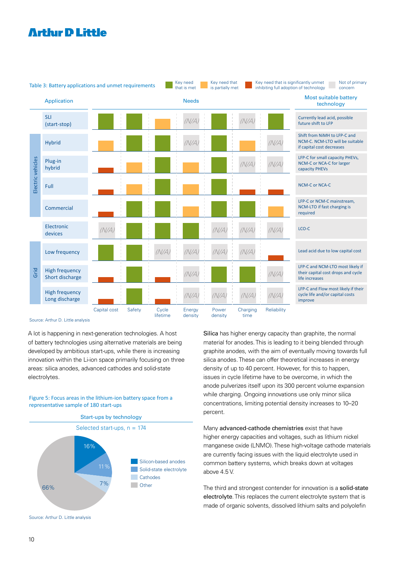

Source: Arthur D. Little analysis

A lot is happening in next-generation technologies. A host of battery technologies using alternative materials are being developed by ambitious start-ups, while there is increasing innovation within the Li-ion space primarily focusing on three areas: silica anodes, advanced cathodes and solid-state electrolytes.

Figure 5: Focus areas in the lithium-ion battery space from a representative sample of 180 start-ups



Silica has higher energy capacity than graphite, the normal material for anodes. This is leading to it being blended through graphite anodes, with the aim of eventually moving towards full silica anodes. These can offer theoretical increases in energy density of up to 40 percent. However, for this to happen, issues in cycle lifetime have to be overcome, in which the anode pulverizes itself upon its 300 percent volume expansion while charging. Ongoing innovations use only minor silica concentrations, limiting potential density increases to 10–20 percent.

Many advanced-cathode chemistries exist that have higher energy capacities and voltages, such as lithium nickel manganese oxide (LNMO). These high-voltage cathode materials are currently facing issues with the liquid electrolyte used in common battery systems, which breaks down at voltages above 4.5 V.

The third and strongest contender for innovation is a solid-state electrolyte. This replaces the current electrolyte system that is made of organic solvents, dissolved lithium salts and polyolefin

Source: Arthur D. Little analysis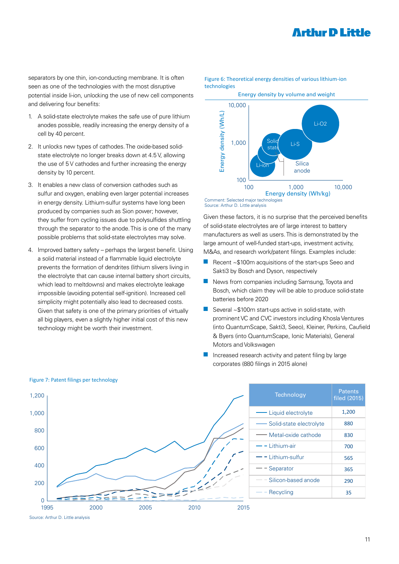separators by one thin, ion-conducting membrane. It is often seen as one of the technologies with the most disruptive potential inside li-ion, unlocking the use of new cell components and delivering four benefits:

- 1. A solid-state electrolyte makes the safe use of pure lithium anodes possible, readily increasing the energy density of a cell by 40 percent.
- 2. It unlocks new types of cathodes. The oxide-based solidstate electrolyte no longer breaks down at 4.5 V, allowing the use of 5 V cathodes and further increasing the energy density by 10 percent.
- 3. It enables a new class of conversion cathodes such as sulfur and oxygen, enabling even larger potential increases in energy density. Lithium-sulfur systems have long been produced by companies such as Sion power; however, they suffer from cycling issues due to polysulfides shuttling through the separator to the anode. This is one of the many possible problems that solid-state electrolytes may solve.
- 4. Improved battery safety perhaps the largest benefit. Using a solid material instead of a flammable liquid electrolyte prevents the formation of dendrites (lithium slivers living in the electrolyte that can cause internal battery short circuits, which lead to meltdowns) and makes electrolyte leakage impossible (avoiding potential self-ignition). Increased cell simplicity might potentially also lead to decreased costs. Given that safety is one of the primary priorities of virtually all big players, even a slightly higher initial cost of this new

## technologies Energy density by volume and weight 10,000 Li-O2

Figure 6: Theoretical energy densities of various lithium-ion

Energy density (Wh/L) Energy density (Wh/L) 1,000 Solid<sup>-</sup> Solid<br>state Li-S **Silica** Li-ion anode 100 100 1,000 10,000 Energy density (Wh/kg)

#### Comment: Selected major technologies Source: Arthur D. Little analysis

Given these factors, it is no surprise that the perceived benefits of solid-state electrolytes are of large interest to battery manufacturers as well as users. This is demonstrated by the large amount of well-funded start-ups, investment activity, M&As, and research work/patent filings. Examples include:

- Recent  $\sim$ \$100m acquisitions of the start-ups Seeo and Sakti3 by Bosch and Dyson, respectively
- $\blacksquare$  News from companies including Samsung, Toyota and Bosch, which claim they will be able to produce solid-state batteries before 2020
- technology might be worth their investment. The Community of the QuantumScape, Sakti3, Seeo), Kleiner, Perkins, Caufield Several  $~\sim$ \$100m start-ups active in solid-state, with prominent VC and CVC investors including Khosla Ventures & Byers (into QuantumScape, Ionic Materials), General Motors and Volkswagen
	- Increased research activity and patent filing by large corporates (880 filings in 2015 alone)



#### Figure 7: Patent filings per technology

Source: Arthur D. Little analysis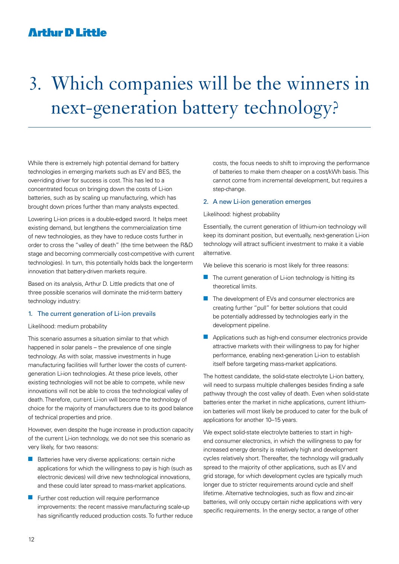## 3. Which companies will be the winners in next-generation battery technology?

While there is extremely high potential demand for battery technologies in emerging markets such as EV and BES, the over-riding driver for success is cost. This has led to a concentrated focus on bringing down the costs of Li-ion batteries, such as by scaling up manufacturing, which has brought down prices further than many analysts expected.

Lowering Li-ion prices is a double-edged sword. It helps meet existing demand, but lengthens the commercialization time of new technologies, as they have to reduce costs further in order to cross the "valley of death" (the time between the R&D stage and becoming commercially cost-competitive with current technologies). In turn, this potentially holds back the longer-term innovation that battery-driven markets require.

Based on its analysis, Arthur D. Little predicts that one of three possible scenarios will dominate the mid-term battery technology industry:

#### 1. The current generation of Li-ion prevails

Likelihood: medium probability

This scenario assumes a situation similar to that which happened in solar panels – the prevalence of one single technology. As with solar, massive investments in huge manufacturing facilities will further lower the costs of currentgeneration Li-ion technologies. At these price levels, other existing technologies will not be able to compete, while new innovations will not be able to cross the technological valley of death. Therefore, current Li-ion will become the technology of choice for the majority of manufacturers due to its good balance of technical properties and price.

However, even despite the huge increase in production capacity of the current Li-ion technology, we do not see this scenario as very likely, for two reasons:

- $\blacksquare$  Batteries have very diverse applications: certain niche applications for which the willingness to pay is high (such as electronic devices) will drive new technological innovations, and these could later spread to mass-market applications.
- Further cost reduction will require performance improvements: the recent massive manufacturing scale-up has significantly reduced production costs. To further reduce

costs, the focus needs to shift to improving the performance of batteries to make them cheaper on a cost/kWh basis. This cannot come from incremental development, but requires a step-change.

#### 2. A new Li-ion generation emerges

#### Likelihood: highest probability

Essentially, the current generation of lithium-ion technology will keep its dominant position, but eventually, next-generation Li-ion technology will attract sufficient investment to make it a viable alternative.

We believe this scenario is most likely for three reasons:

- $\blacksquare$  The current generation of Li-ion technology is hitting its theoretical limits.
- $\blacksquare$  The development of EVs and consumer electronics are creating further "pull" for better solutions that could be potentially addressed by technologies early in the development pipeline.
- $\blacksquare$  Applications such as high-end consumer electronics provide attractive markets with their willingness to pay for higher performance, enabling next-generation Li-ion to establish itself before targeting mass-market applications.

The hottest candidate, the solid-state electrolyte Li-ion battery, will need to surpass multiple challenges besides finding a safe pathway through the cost valley of death. Even when solid-state batteries enter the market in niche applications, current lithiumion batteries will most likely be produced to cater for the bulk of applications for another 10–15 years.

We expect solid-state electrolyte batteries to start in highend consumer electronics, in which the willingness to pay for increased energy density is relatively high and development cycles relatively short. Thereafter, the technology will gradually spread to the majority of other applications, such as EV and grid storage, for which development cycles are typically much longer due to stricter requirements around cycle and shelf lifetime. Alternative technologies, such as flow and zinc-air batteries, will only occupy certain niche applications with very specific requirements. In the energy sector, a range of other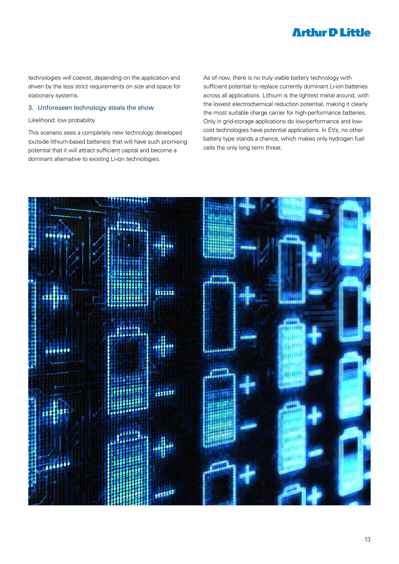technologies will coexist, depending on the application and driven by the less strict requirements on size and space for stationary systems.

#### 3. Unforeseen technology steals the show

#### Likelihood: low probability

This scenario sees a completely new technology developed (outside lithium-based batteries) that will have such promising potential that it will attract sufficient capital and become a dominant alternative to existing Li-ion technologies.

As of now, there is no truly viable battery technology with sufficient potential to replace currently dominant Li-ion batteries across all applications. Lithium is the lightest metal around, with the lowest electrochemical reduction potential, making it clearly the most suitable charge carrier for high-performance batteries. Only in grid-storage applications do low-performance and lowcost technologies have potential applications. In EVs, no other battery type stands a chance, which makes only hydrogen fuel cells the only long term threat.

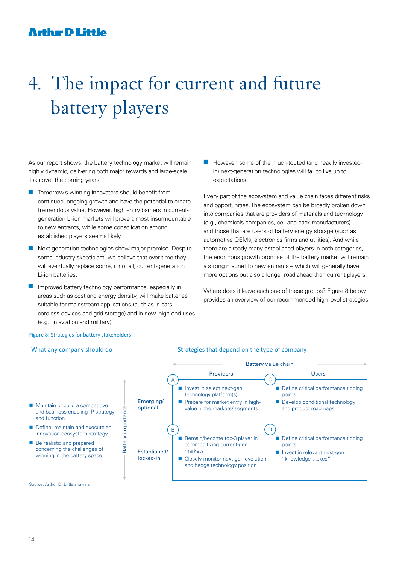## 4. The impact for current and future battery players

As our report shows, the battery technology market will remain highly dynamic, delivering both major rewards and large-scale risks over the coming years:

- $\blacksquare$  Tomorrow's winning innovators should benefit from continued, ongoing growth and have the potential to create tremendous value. However, high entry barriers in currentgeneration Li-ion markets will prove almost insurmountable to new entrants, while some consolidation among established players seems likely.
- $\blacksquare$  Next-generation technologies show major promise. Despite some industry skepticism, we believe that over time they will eventually replace some, if not all, current-generation Li-ion batteries.
- Improved battery technology performance, especially in areas such as cost and energy density, will make batteries suitable for mainstream applications (such as in cars, cordless devices and grid storage) and in new, high-end uses (e.g., in aviation and military).

However, some of the much-touted (and heavily investedin) next-generation technologies will fail to live up to expectations.

Every part of the ecosystem and value chain faces different risks and opportunities. The ecosystem can be broadly broken down into companies that are providers of materials and technology (e.g., chemicals companies, cell and pack manufacturers) and those that are users of battery energy storage (such as automotive OEMs, electronics firms and utilities). And while there are already many established players in both categories, the enormous growth promise of the battery market will remain a strong magnet to new entrants – which will generally have more options but also a longer road ahead than current players.

Where does it leave each one of these groups? Figure 8 below provides an overview of our recommended high-level strategies:

#### Figure 8: Strategies for battery stakeholders

#### What any company should do Strategies that depend on the type of company



Source: Arthur D. Little analysis

and function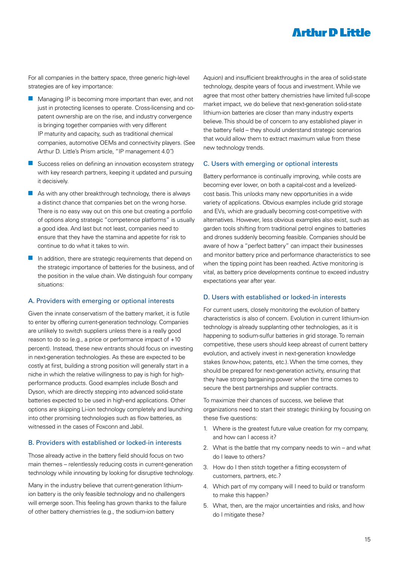For all companies in the battery space, three generic high-level strategies are of key importance:

- $\blacksquare$  Managing IP is becoming more important than ever, and not just in protecting licenses to operate. Cross-licensing and copatent ownership are on the rise, and industry convergence is bringing together companies with very different IP maturity and capacity, such as traditional chemical companies, automotive OEMs and connectivity players. (See Arthur D. Little's Prism article, "IP management 4.0")
- $\blacksquare$  Success relies on defining an innovation ecosystem strategy with key research partners, keeping it updated and pursuing it decisively.
- $\blacksquare$  As with any other breakthrough technology, there is always a distinct chance that companies bet on the wrong horse. There is no easy way out on this one but creating a portfolio of options along strategic "competence platforms" is usually a good idea. And last but not least, companies need to ensure that they have the stamina and appetite for risk to continue to do what it takes to win.
- $\blacksquare$  In addition, there are strategic requirements that depend on the strategic importance of batteries for the business, and of the position in the value chain. We distinguish four company situations:

#### A. Providers with emerging or optional interests

Given the innate conservatism of the battery market, it is futile to enter by offering current-generation technology. Companies are unlikely to switch suppliers unless there is a really good reason to do so (e.g., a price or performance impact of +10 percent). Instead, these new entrants should focus on investing in next-generation technologies. As these are expected to be costly at first, building a strong position will generally start in a niche in which the relative willingness to pay is high for highperformance products. Good examples include Bosch and Dyson, which are directly stepping into advanced solid-state batteries expected to be used in high-end applications. Other options are skipping Li-ion technology completely and launching into other promising technologies such as flow batteries, as witnessed in the cases of Foxconn and Jabil.

#### B. Providers with established or locked-in interests

Those already active in the battery field should focus on two main themes – relentlessly reducing costs in current-generation technology while innovating by looking for disruptive technology.

Many in the industry believe that current-generation lithiumion battery is the only feasible technology and no challengers will emerge soon. This feeling has grown thanks to the failure of other battery chemistries (e.g., the sodium-ion battery

Aquion) and insufficient breakthroughs in the area of solid-state technology, despite years of focus and investment. While we agree that most other battery chemistries have limited full-scope market impact, we do believe that next-generation solid-state lithium-ion batteries are closer than many industry experts believe. This should be of concern to any established player in the battery field – they should understand strategic scenarios that would allow them to extract maximum value from these new technology trends.

#### C. Users with emerging or optional interests

Battery performance is continually improving, while costs are becoming ever lower, on both a capital-cost and a levelizedcost basis. This unlocks many new opportunities in a wide variety of applications. Obvious examples include grid storage and EVs, which are gradually becoming cost-competitive with alternatives. However, less obvious examples also exist, such as garden tools shifting from traditional petrol engines to batteries and drones suddenly becoming feasible. Companies should be aware of how a "perfect battery" can impact their businesses and monitor battery price and performance characteristics to see when the tipping point has been reached. Active monitoring is vital, as battery price developments continue to exceed industry expectations year after year.

#### D. Users with established or locked-in interests

For current users, closely monitoring the evolution of battery characteristics is also of concern. Evolution in current lithium-ion technology is already supplanting other technologies, as it is happening to sodium-sulfur batteries in grid storage. To remain competitive, these users should keep abreast of current battery evolution, and actively invest in next-generation knowledge stakes (know-how, patents, etc.). When the time comes, they should be prepared for next-generation activity, ensuring that they have strong bargaining power when the time comes to secure the best partnerships and supplier contracts.

To maximize their chances of success, we believe that organizations need to start their strategic thinking by focusing on these five questions:

- 1. Where is the greatest future value creation for my company, and how can I access it?
- 2. What is the battle that my company needs to win and what do I leave to others?
- 3. How do I then stitch together a fitting ecosystem of customers, partners, etc.?
- 4. Which part of my company will I need to build or transform to make this happen?
- 5. What, then, are the major uncertainties and risks, and how do I mitigate these?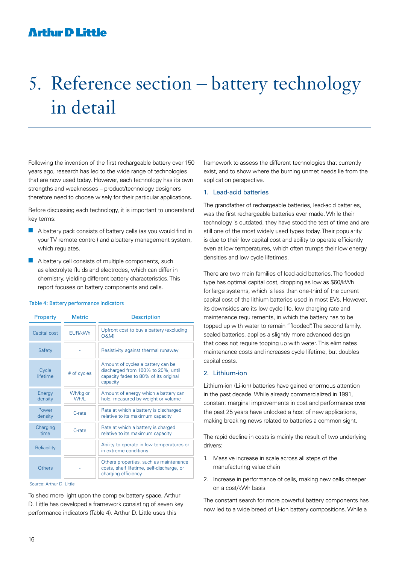## 5. Reference section – battery technology in detail

Following the invention of the first rechargeable battery over 150 years ago, research has led to the wide range of technologies that are now used today. However, each technology has its own strengths and weaknesses – product/technology designers therefore need to choose wisely for their particular applications.

Before discussing each technology, it is important to understand key terms:

- $\blacksquare$  A battery pack consists of battery cells (as you would find in your TV remote control) and a battery management system, which regulates.
- $\blacksquare$  A battery cell consists of multiple components, such as electrolyte fluids and electrodes, which can differ in chemistry, yielding different battery characteristics. This report focuses on battery components and cells.

#### Table 4: Battery performance indicators

| <b>Property</b>   | <b>Metric</b>    | <b>Description</b>                                                                                                           |
|-------------------|------------------|------------------------------------------------------------------------------------------------------------------------------|
| Capital cost      | EUR/kWh          | Upfront cost to buy a battery (excluding<br>0&M)                                                                             |
| Safety            |                  | Resistivity against thermal runaway                                                                                          |
| Cycle<br>lifetime | # of cycles      | Amount of cycles a battery can be<br>discharged from 100% to 20%, until<br>capacity fades to 80% of its original<br>capacity |
| Energy<br>density | Wh/kg or<br>Wh/L | Amount of energy which a battery can<br>hold, measured by weight or volume                                                   |
| Power<br>density  | C-rate           | Rate at which a battery is discharged<br>relative to its maximum capacity                                                    |
| Charging<br>time  | C-rate           | Rate at which a battery is charged<br>relative to its maximum capacity                                                       |
| Reliability       |                  | Ability to operate in low temperatures or<br>in extreme conditions                                                           |
| Others            |                  | Others properties, such as maintenance<br>costs, shelf lifetime, self-discharge, or<br>charging efficiency                   |

Source: Arthur D. Little

To shed more light upon the complex battery space, Arthur D. Little has developed a framework consisting of seven key performance indicators (Table 4). Arthur D. Little uses this

framework to assess the different technologies that currently exist, and to show where the burning unmet needs lie from the application perspective.

#### 1. Lead-acid batteries

The grandfather of rechargeable batteries, lead-acid batteries, was the first rechargeable batteries ever made. While their technology is outdated, they have stood the test of time and are still one of the most widely used types today. Their popularity is due to their low capital cost and ability to operate efficiently even at low temperatures, which often trumps their low energy densities and low cycle lifetimes.

There are two main families of lead-acid batteries. The flooded type has optimal capital cost, dropping as low as \$60/kWh for large systems, which is less than one-third of the current capital cost of the lithium batteries used in most EVs. However, its downsides are its low cycle life, low charging rate and maintenance requirements, in which the battery has to be topped up with water to remain "flooded". The second family, sealed batteries, applies a slightly more advanced design that does not require topping up with water. This eliminates maintenance costs and increases cycle lifetime, but doubles capital costs.

#### 2. Lithium-ion

Lithium-ion (Li-ion) batteries have gained enormous attention in the past decade. While already commercialized in 1991, constant marginal improvements in cost and performance over the past 25 years have unlocked a host of new applications, making breaking news related to batteries a common sight.

The rapid decline in costs is mainly the result of two underlying drivers:

- 1. Massive increase in scale across all steps of the manufacturing value chain
- 2. Increase in performance of cells, making new cells cheaper on a cost/kWh basis

The constant search for more powerful battery components has now led to a wide breed of Li-ion battery compositions. While a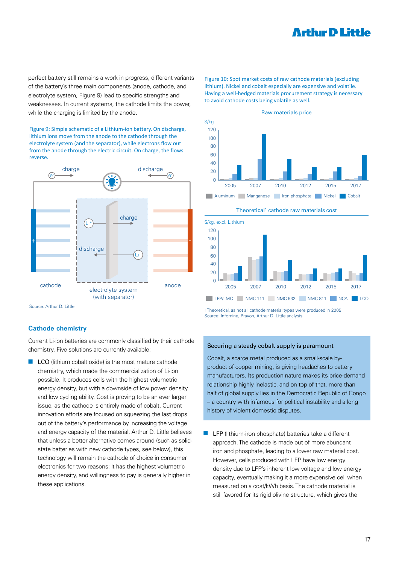perfect battery still remains a work in progress, different variants of the battery's three main components (anode, cathode, and electrolyte system, Figure 9) lead to specific strengths and weaknesses. In current systems, the cathode limits the power, while the charging is limited by the anode.

Figure 9: Simple schematic of a Lithium-ion battery. On discharge, lithium ions move from the anode to the cathode through the electrolyte system (and the separator), while electrons flow out from the anode through the electric circuit. On charge, the flows reverse.



Source: Arthur D. Little

#### **Cathode chemistry**

Current Li-ion batteries are commonly classified by their cathode chemistry. Five solutions are currently available:

 $\blacksquare$  LCO (lithium cobalt oxide) is the most mature cathode chemistry, which made the commercialization of Li-ion possible. It produces cells with the highest volumetric energy density, but with a downside of low power density and low cycling ability. Cost is proving to be an ever larger issue, as the cathode is entirely made of cobalt. Current innovation efforts are focused on squeezing the last drops out of the battery's performance by increasing the voltage and energy capacity of the material. Arthur D. Little believes that unless a better alternative comes around (such as solidstate batteries with new cathode types, see below), this technology will remain the cathode of choice in consumer electronics for two reasons: it has the highest volumetric energy density, and willingness to pay is generally higher in these applications.

Figure 10: Spot market costs of raw cathode materials (excluding lithium). Nickel and cobalt especially are expensive and volatile. Having a well-hedged materials procurement strategy is necessary to avoid cathode costs being volatile as well.





1Theoretical, as not all cathode material types were produced in 2005 Source: Infomine, Prayon, Arthur D. Little analysis

#### Securing a steady cobalt supply is paramount

Cobalt, a scarce metal produced as a small-scale byproduct of copper mining, is giving headaches to battery manufacturers. Its production nature makes its price-demand relationship highly inelastic, and on top of that, more than half of global supply lies in the Democratic Republic of Congo – a country with infamous for political instability and a long history of violent domestic disputes.

 $\blacksquare$  LFP (lithium-iron phosphate) batteries take a different approach. The cathode is made out of more abundant iron and phosphate, leading to a lower raw material cost. However, cells produced with LFP have low energy density due to LFP's inherent low voltage and low energy capacity, eventually making it a more expensive cell when measured on a cost/kWh basis. The cathode material is still favored for its rigid olivine structure, which gives the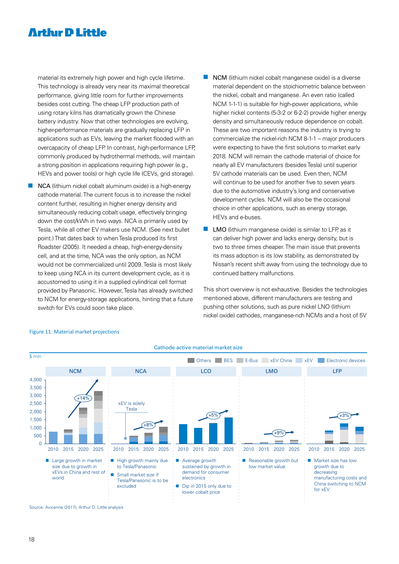material its extremely high power and high cycle lifetime. This technology is already very near its maximal theoretical performance, giving little room for further improvements besides cost cutting. The cheap LFP production path of using rotary kilns has dramatically grown the Chinese battery industry. Now that other technologies are evolving, higher-performance materials are gradually replacing LFP in applications such as EVs, leaving the market flooded with an overcapacity of cheap LFP. In contrast, high-performance LFP, commonly produced by hydrothermal methods, will maintain a strong position in applications requiring high power (e.g., HEVs and power tools) or high cycle life (CEVs, grid storage).

- $\blacksquare$  NCA (lithium nickel cobalt aluminum oxide) is a high-energy cathode material. The current focus is to increase the nickel content further, resulting in higher energy density and simultaneously reducing cobalt usage, effectively bringing down the cost/kWh in two ways. NCA is primarily used by Tesla, while all other EV makers use NCM. (See next bullet point.) That dates back to when Tesla produced its first Roadster (2005). It needed a cheap, high-energy-density cell, and at the time, NCA was the only option, as NCM would not be commercialized until 2009. Tesla is most likely to keep using NCA in its current development cycle, as it is accustomed to using it in a supplied cylindrical cell format provided by Panasonic. However, Tesla has already switched to NCM for energy-storage applications, hinting that a future switch for EVs could soon take place.
- $\blacksquare$  NCM (lithium nickel cobalt manganese oxide) is a diverse material dependent on the stoichiometric balance between the nickel, cobalt and manganese. An even ratio (called NCM 1-1-1) is suitable for high-power applications, while higher nickel contents (5-3-2 or 6-2-2) provide higher energy density and simultaneously reduce dependence on cobalt. These are two important reasons the industry is trying to commercialize the nickel-rich NCM 8-1-1 – major producers were expecting to have the first solutions to market early 2018. NCM will remain the cathode material of choice for nearly all EV manufacturers (besides Tesla) until superior 5V cathode materials can be used. Even then, NCM will continue to be used for another five to seven years due to the automotive industry's long and conservative development cycles. NCM will also be the occasional choice in other applications, such as energy storage, HEVs and e-buses.
- $\blacksquare$  LMO (lithium manganese oxide) is similar to LFP, as it can deliver high power and lacks energy density, but is two to three times cheaper. The main issue that prevents its mass adoption is its low stability, as demonstrated by Nissan's recent shift away from using the technology due to continued battery malfunctions.

This short overview is not exhaustive. Besides the technologies mentioned above, different manufacturers are testing and pushing other solutions, such as pure nickel LNO (lithium nickel oxide) cathodes, manganese-rich NCMs and a host of 5V



#### Figure 11: Material market projections

Source: Avicenne (2017), Arthur D. Little analysis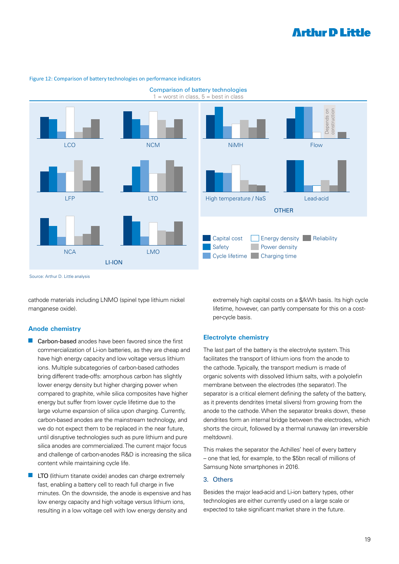

#### Figure 12: Comparison of battery technologies on performance indicators

Source: Arthur D. Little analysis

cathode materials including LNMO (spinel type lithium nickel manganese oxide).

#### **Anode chemistry**

- $\blacksquare$  Carbon-based anodes have been favored since the first commercialization of Li-ion batteries, as they are cheap and have high energy capacity and low voltage versus lithium ions. Multiple subcategories of carbon-based cathodes bring different trade-offs: amorphous carbon has slightly lower energy density but higher charging power when compared to graphite, while silica composites have higher energy but suffer from lower cycle lifetime due to the large volume expansion of silica upon charging. Currently, carbon-based anodes are the mainstream technology, and we do not expect them to be replaced in the near future, until disruptive technologies such as pure lithium and pure silica anodes are commercialized. The current major focus and challenge of carbon-anodes R&D is increasing the silica content while maintaining cycle life.
- LTO (lithium titanate oxide) anodes can charge extremely fast, enabling a battery cell to reach full charge in five minutes. On the downside, the anode is expensive and has low energy capacity and high voltage versus lithium ions, resulting in a low voltage cell with low energy density and

extremely high capital costs on a \$/kWh basis. Its high cycle lifetime, however, can partly compensate for this on a costper-cycle basis.

#### **Electrolyte chemistry**

The last part of the battery is the electrolyte system. This facilitates the transport of lithium ions from the anode to the cathode. Typically, the transport medium is made of organic solvents with dissolved lithium salts, with a polyolefin membrane between the electrodes (the separator). The separator is a critical element defining the safety of the battery, as it prevents dendrites (metal slivers) from growing from the anode to the cathode. When the separator breaks down, these dendrites form an internal bridge between the electrodes, which shorts the circuit, followed by a thermal runaway (an irreversible meltdown).

This makes the separator the Achilles' heel of every battery – one that led, for example, to the \$5bn recall of millions of Samsung Note smartphones in 2016.

#### 3. Others

Besides the major lead-acid and Li-ion battery types, other technologies are either currently used on a large scale or expected to take significant market share in the future.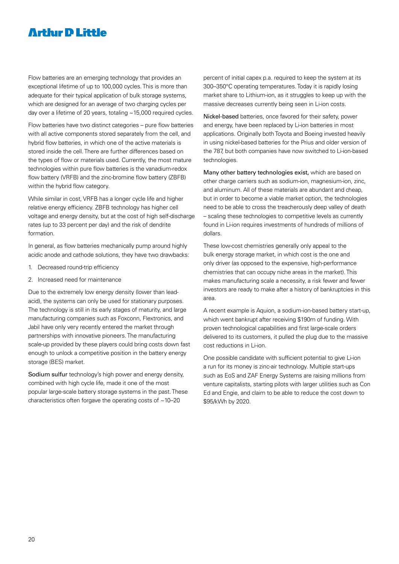Flow batteries are an emerging technology that provides an exceptional lifetime of up to 100,000 cycles. This is more than adequate for their typical application of bulk storage systems, which are designed for an average of two charging cycles per day over a lifetime of 20 years, totaling ~15,000 required cycles.

Flow batteries have two distinct categories – pure flow batteries with all active components stored separately from the cell, and hybrid flow batteries, in which one of the active materials is stored inside the cell. There are further differences based on the types of flow or materials used. Currently, the most mature technologies within pure flow batteries is the vanadium-redox flow battery (VRFB) and the zinc-bromine flow battery (ZBFB) within the hybrid flow category.

While similar in cost, VRFB has a longer cycle life and higher relative energy efficiency. ZBFB technology has higher cell voltage and energy density, but at the cost of high self-discharge rates (up to 33 percent per day) and the risk of dendrite formation.

In general, as flow batteries mechanically pump around highly acidic anode and cathode solutions, they have two drawbacks:

- 1. Decreased round-trip efficiency
- 2. Increased need for maintenance

Due to the extremely low energy density (lower than leadacid), the systems can only be used for stationary purposes. The technology is still in its early stages of maturity, and large manufacturing companies such as Foxconn, Flextronics, and Jabil have only very recently entered the market through partnerships with innovative pioneers. The manufacturing scale-up provided by these players could bring costs down fast enough to unlock a competitive position in the battery energy storage (BES) market.

Sodium sulfur technology's high power and energy density, combined with high cycle life, made it one of the most popular large-scale battery storage systems in the past. These characteristics often for gave the operating costs of  $\sim$  10–20

percent of initial capex p.a. required to keep the system at its 300–350°C operating temperatures. Today it is rapidly losing market share to Lithium-ion, as it struggles to keep up with the massive decreases currently being seen in Li-ion costs.

Nickel-based batteries, once favored for their safety, power and energy, have been replaced by Li-ion batteries in most applications. Originally both Toyota and Boeing invested heavily in using nickel-based batteries for the Prius and older version of the 787, but both companies have now switched to Li-ion-based technologies.

Many other battery technologies exist, which are based on other charge carriers such as sodium-ion, magnesium-ion, zinc, and aluminum. All of these materials are abundant and cheap, but in order to become a viable market option, the technologies need to be able to cross the treacherously deep valley of death – scaling these technologies to competitive levels as currently found in Li-ion requires investments of hundreds of millions of dollars.

These low-cost chemistries generally only appeal to the bulk energy storage market, in which cost is the one and only driver (as opposed to the expensive, high-performance chemistries that can occupy niche areas in the market). This makes manufacturing scale a necessity, a risk fewer and fewer investors are ready to make after a history of bankruptcies in this area.

A recent example is Aquion, a sodium-ion-based battery start-up, which went bankrupt after receiving \$190m of funding. With proven technological capabilities and first large-scale orders delivered to its customers, it pulled the plug due to the massive cost reductions in Li-ion.

One possible candidate with sufficient potential to give Li-ion a run for its money is zinc-air technology. Multiple start-ups such as EoS and ZAF Energy Systems are raising millions from venture capitalists, starting pilots with larger utilities such as Con Ed and Engie, and claim to be able to reduce the cost down to \$95/kWh by 2020.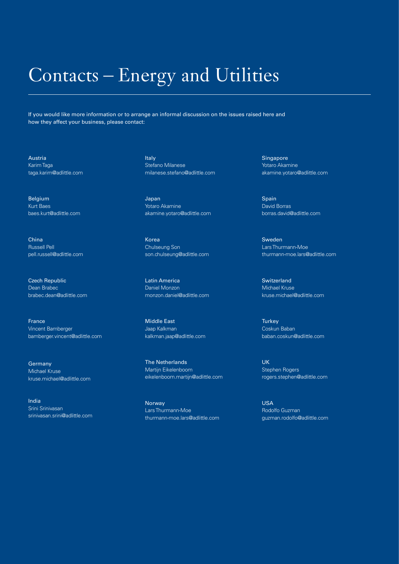## Contacts – Energy and Utilities

If you would like more information or to arrange an informal discussion on the issues raised here and how they affect your business, please contact:

Austria Karim Taga taga.karim@adlittle.com

Belgium Kurt Baes baes.kurt@adlittle.com

China Russell Pell pell.russell@adlittle.com

Czech Republic Dean Brabec brabec.dean@adlittle.com

France Vincent Bamberger bamberger.vincent@adlittle.com

Germany Michael Kruse kruse.michael@adlittle.com

India Srini Srinivasan srinivasan.srini@adlittle.com Italy Stefano Milanese milanese.stefano@adlittle.com

Japan Yotaro Akamine akamine.yotaro@adlittle.com

Korea Chulseung Son son.chulseung@adlittle.com

Latin America Daniel Monzon monzon.daniel@adlittle.com

Middle East Jaap Kalkman kalkman.jaap@adlittle.com

The Netherlands Martijn Eikelenboom eikelenboom.martijn@adlittle.com

Norway Lars Thurmann-Moe thurmann-moe.lars@adlittle.com Singapore Yotaro Akamine akamine.yotaro@adlittle.com

**Spain** David Borras borras.david@adlittle.com

Sweden Lars Thurmann-Moe thurmann-moe.lars@adlittle.com

**Switzerland** Michael Kruse kruse.michael@adlittle.com

**Turkey** Coskun Baban baban.coskun@adlittle.com

UK Stephen Rogers rogers.stephen@adlittle.com

USA Rodolfo Guzman guzman.rodolfo@adlittle.com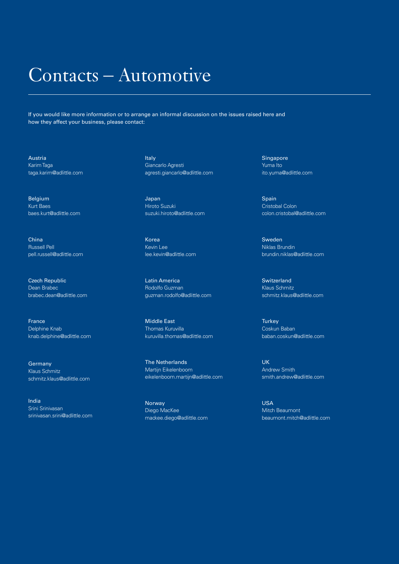## Contacts – Automotive

If you would like more information or to arrange an informal discussion on the issues raised here and how they affect your business, please contact:

Austria Karim Taga taga.karim@adlittle.com

Belgium Kurt Baes baes.kurt@adlittle.com

China Russell Pell pell.russell@adlittle.com

Czech Republic Dean Brabec brabec.dean@adlittle.com

France Delphine Knab knab.delphine@adlittle.com

Germany Klaus Schmitz schmitz.klaus@adlittle.com

India Srini Srinivasan srinivasan.srini@adlittle.com Italy Giancarlo Agresti agresti.giancarlo@adlittle.com

Japan Hiroto Suzuki suzuki.hiroto@adlittle.com

Korea Kevin Lee lee.kevin@adlittle.com

Latin America Rodolfo Guzman guzman.rodolfo@adlittle.com

Middle East Thomas Kuruvilla kuruvilla.thomas@adlittle.com

The Netherlands Martijn Eikelenboom eikelenboom.martijn@adlittle.com

Norway Diego MacKee mackee.diego@adlittle.com Singapore Yuma Ito ito.yuma@adlittle.com

Spain Cristobal Colon colon.cristobal@adlittle.com

Sweden Niklas Brundin brundin.niklas@adlittle.com

**Switzerland** Klaus Schmitz schmitz.klaus@adlittle.com

**Turkey** Coskun Baban baban.coskun@adlittle.com

UK Andrew Smith smith.andrew@adlittle.com

USA Mitch Beaumont beaumont.mitch@adlittle.com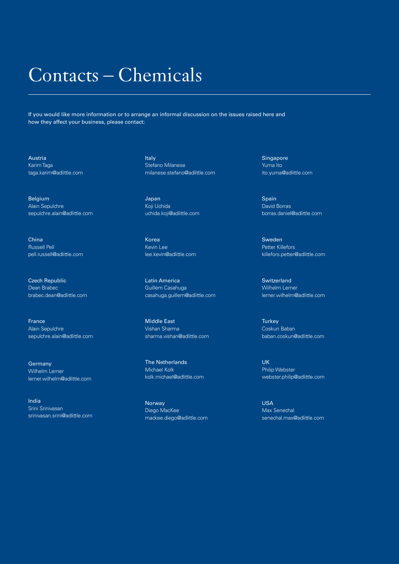## Contacts – Chemicals

If you would like more information or to arrange an informal discussion on the issues raised here and how they affect your business, please contact:

Austria Karim Taga taga.karim@adlittle.com

Belgium Alain Sepulchre sepulchre.alain@adlittle.com

China Russell Pell pell.russell@adlittle.com

Czech Republic Dean Brabec brabec.dean@adlittle.com

France Alain Sepulchre sepulchre.alain@adlittle.com

**Germany** Wilhelm Lerner lerner.wilhelm@adlittle.com

India Srini Srinivasan srinivasan.srini@adlittle.com Italy Stefano Milanese milanese.stefano@adlittle.com

Japan Koji Uchida uchida.koji@adlittle.com

Korea Kevin Lee lee.kevin@adlittle.com

Latin America Guillem Casahuga casahuga.guillem@adlittle.com

Middle East Vishan Sharma sharma.vishan@adlittle.com

The Netherlands Michael Kolk kolk.michael@adlittle.com

Norway Diego MacKee mackee.diego@adlittle.com Singapore Yuma Ito ito.yuma@adlittle.com

Spain David Borras borras.daniel@adlittle.com

Sweden Petter Killefors killefors.petter@adlittle.com

**Switzerland** Wilhelm Lerner lerner.wilhelm@adlittle.com

**Turkey** Coskun Baban baban.coskun@adlittle.com

UK Philip Webster webster.philip@adlittle.com

USA Max Senechal senechal.max@adlittle.com